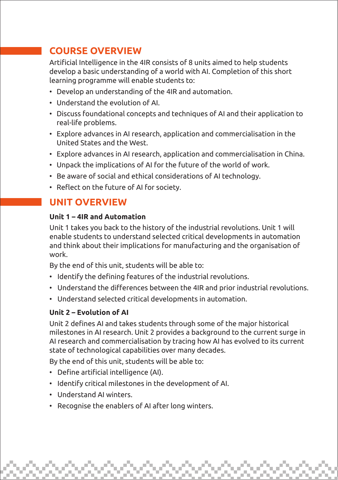# **COURSE OVERVIEW**

Artificial Intelligence in the 4IR consists of 8 units aimed to help students develop a basic understanding of a world with AI. Completion of this short learning programme will enable students to:

- Develop an understanding of the 4IR and automation.
- Understand the evolution of AI.
- Discuss foundational concepts and techniques of AI and their application to real-life problems.
- Explore advances in AI research, application and commercialisation in the United States and the West.
- Explore advances in AI research, application and commercialisation in China.
- Unpack the implications of AI for the future of the world of work.
- Be aware of social and ethical considerations of AI technology.
- Reflect on the future of AI for society.

## **UNIT OVERVIEW**

#### **Unit 1 – 4IR and Automation**

Unit 1 takes you back to the history of the industrial revolutions. Unit 1 will enable students to understand selected critical developments in automation and think about their implications for manufacturing and the organisation of work.

By the end of this unit, students will be able to:

- Identify the defining features of the industrial revolutions.
- Understand the differences between the 4IR and prior industrial revolutions.
- Understand selected critical developments in automation.

#### **Unit 2 – Evolution of AI**

Unit 2 defines AI and takes students through some of the major historical milestones in AI research. Unit 2 provides a background to the current surge in AI research and commercialisation by tracing how AI has evolved to its current state of technological capabilities over many decades.

By the end of this unit, students will be able to:

- Define artificial intelligence (AI).
- Identify critical milestones in the development of AI.
- Understand AI winters.
- Recognise the enablers of AI after long winters.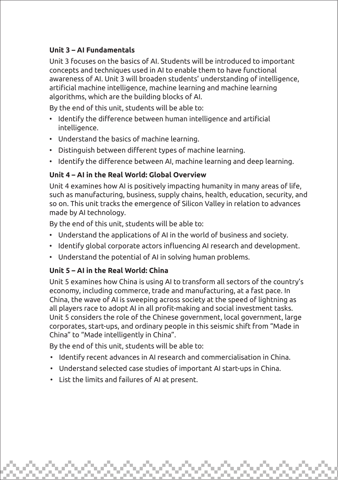### **Unit 3 – AI Fundamentals**

Unit 3 focuses on the basics of AI. Students will be introduced to important concepts and techniques used in AI to enable them to have functional awareness of AI. Unit 3 will broaden students' understanding of intelligence, artificial machine intelligence, machine learning and machine learning algorithms, which are the building blocks of AI.

By the end of this unit, students will be able to:

- Identify the difference between human intelligence and artificial intelligence.
- Understand the basics of machine learning.
- Distinguish between different types of machine learning.
- Identify the difference between AI, machine learning and deep learning.

#### **Unit 4 – AI in the Real World: Global Overview**

Unit 4 examines how AI is positively impacting humanity in many areas of life, such as manufacturing, business, supply chains, health, education, security, and so on. This unit tracks the emergence of Silicon Valley in relation to advances made by AI technology.

By the end of this unit, students will be able to:

- Understand the applications of AI in the world of business and society.
- Identify global corporate actors influencing AI research and development.
- Understand the potential of AI in solving human problems.

#### **Unit 5 – AI in the Real World: China**

Unit 5 examines how China is using AI to transform all sectors of the country's economy, including commerce, trade and manufacturing, at a fast pace. In China, the wave of AI is sweeping across society at the speed of lightning as all players race to adopt AI in all profit-making and social investment tasks. Unit 5 considers the role of the Chinese government, local government, large corporates, start-ups, and ordinary people in this seismic shift from "Made in China" to "Made intelligently in China".

By the end of this unit, students will be able to:

- Identify recent advances in AI research and commercialisation in China.
- Understand selected case studies of important AI start-ups in China.
- List the limits and failures of AI at present.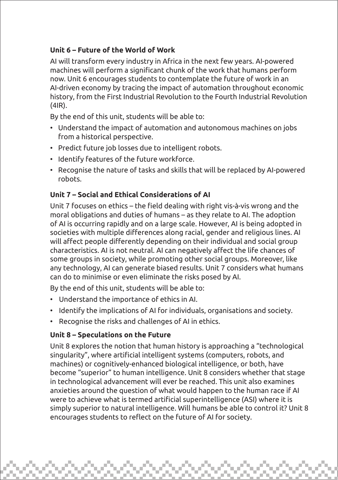### **Unit 6 – Future of the World of Work**

AI will transform every industry in Africa in the next few years. AI-powered machines will perform a significant chunk of the work that humans perform now. Unit 6 encourages students to contemplate the future of work in an AI-driven economy by tracing the impact of automation throughout economic history, from the First Industrial Revolution to the Fourth Industrial Revolution (4IR).

By the end of this unit, students will be able to:

- Understand the impact of automation and autonomous machines on jobs from a historical perspective.
- Predict future job losses due to intelligent robots.
- Identify features of the future workforce.
- Recognise the nature of tasks and skills that will be replaced by AI-powered robots.

### **Unit 7 – Social and Ethical Considerations of AI**

Unit 7 focuses on ethics – the field dealing with right vis-à-vis wrong and the moral obligations and duties of humans – as they relate to AI. The adoption of AI is occurring rapidly and on a large scale. However, AI is being adopted in societies with multiple differences along racial, gender and religious lines. AI will affect people differently depending on their individual and social group characteristics. AI is not neutral. AI can negatively affect the life chances of some groups in society, while promoting other social groups. Moreover, like any technology, AI can generate biased results. Unit 7 considers what humans can do to minimise or even eliminate the risks posed by AI.

By the end of this unit, students will be able to:

- Understand the importance of ethics in AI.
- Identify the implications of AI for individuals, organisations and society.
- Recognise the risks and challenges of AI in ethics.

#### **Unit 8 – Speculations on the Future**

Unit 8 explores the notion that human history is approaching a "technological singularity", where artificial intelligent systems (computers, robots, and machines) or cognitively-enhanced biological intelligence, or both, have become "superior" to human intelligence. Unit 8 considers whether that stage in technological advancement will ever be reached. This unit also examines anxieties around the question of what would happen to the human race if AI were to achieve what is termed artificial superintelligence (ASI) where it is simply superior to natural intelligence. Will humans be able to control it? Unit 8 encourages students to reflect on the future of AI for society.